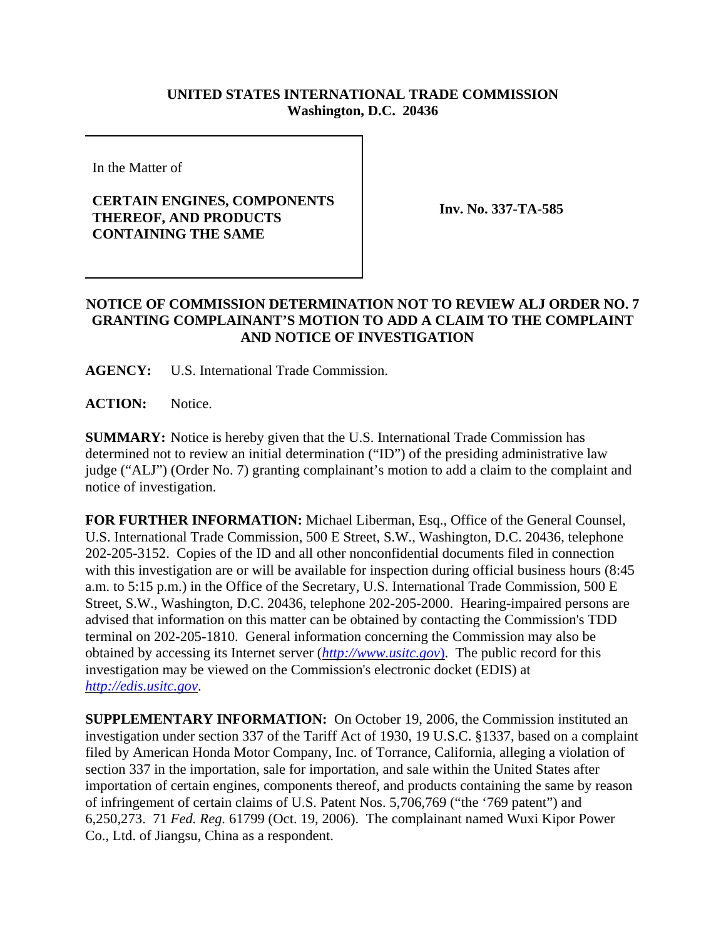## **UNITED STATES INTERNATIONAL TRADE COMMISSION Washington, D.C. 20436**

In the Matter of

## **CERTAIN ENGINES, COMPONENTS THEREOF, AND PRODUCTS CONTAINING THE SAME**

**Inv. No. 337-TA-585**

## **NOTICE OF COMMISSION DETERMINATION NOT TO REVIEW ALJ ORDER NO. 7 GRANTING COMPLAINANT'S MOTION TO ADD A CLAIM TO THE COMPLAINT AND NOTICE OF INVESTIGATION**

**AGENCY:** U.S. International Trade Commission.

**ACTION:** Notice.

**SUMMARY:** Notice is hereby given that the U.S. International Trade Commission has determined not to review an initial determination ("ID") of the presiding administrative law judge ("ALJ") (Order No. 7) granting complainant's motion to add a claim to the complaint and notice of investigation.

**FOR FURTHER INFORMATION:** Michael Liberman, Esq., Office of the General Counsel, U.S. International Trade Commission, 500 E Street, S.W., Washington, D.C. 20436, telephone 202-205-3152. Copies of the ID and all other nonconfidential documents filed in connection with this investigation are or will be available for inspection during official business hours (8:45 a.m. to 5:15 p.m.) in the Office of the Secretary, U.S. International Trade Commission, 500 E Street, S.W., Washington, D.C. 20436, telephone 202-205-2000. Hearing-impaired persons are advised that information on this matter can be obtained by contacting the Commission's TDD terminal on 202-205-1810. General information concerning the Commission may also be obtained by accessing its Internet server (*http://www.usitc.gov*). The public record for this investigation may be viewed on the Commission's electronic docket (EDIS) at *http://edis.usitc.gov*.

**SUPPLEMENTARY INFORMATION:** On October 19, 2006, the Commission instituted an investigation under section 337 of the Tariff Act of 1930, 19 U.S.C. §1337, based on a complaint filed by American Honda Motor Company, Inc. of Torrance, California, alleging a violation of section 337 in the importation, sale for importation, and sale within the United States after importation of certain engines, components thereof, and products containing the same by reason of infringement of certain claims of U.S. Patent Nos. 5,706,769 ("the '769 patent") and 6,250,273. 71 *Fed. Reg.* 61799 (Oct. 19, 2006). The complainant named Wuxi Kipor Power Co., Ltd. of Jiangsu, China as a respondent.